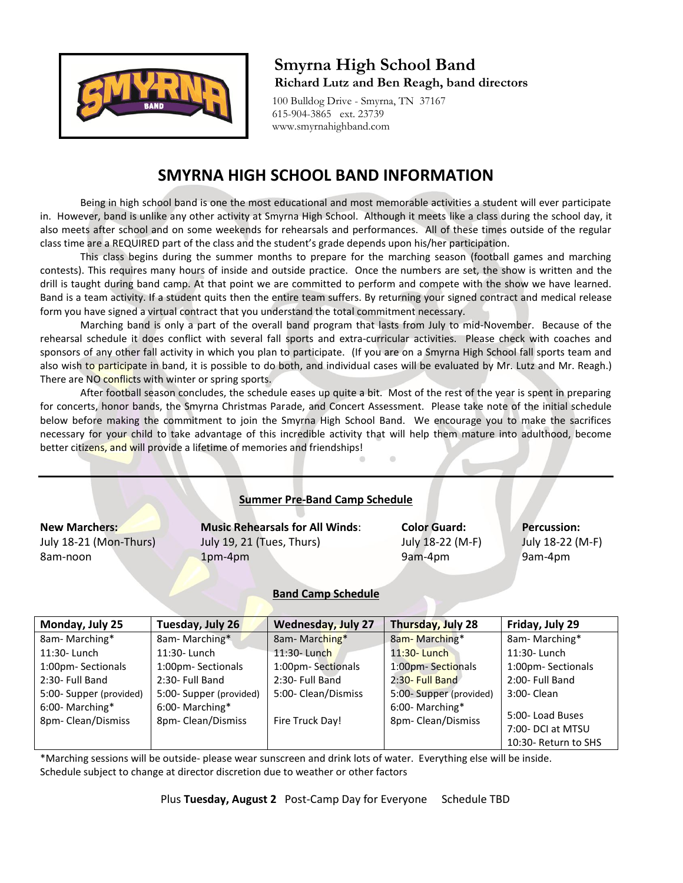

# **Smyrna High School Band Richard Lutz and Ben Reagh, band directors**

 100 Bulldog Drive - Smyrna, TN 37167 615-904-3865 ext. 23739 www.smyrnahighband.com

# **SMYRNA HIGH SCHOOL BAND INFORMATION**

Being in high school band is one the most educational and most memorable activities a student will ever participate in. However, band is unlike any other activity at Smyrna High School. Although it meets like a class during the school day, it also meets after school and on some weekends for rehearsals and performances. All of these times outside of the regular class time are a REQUIRED part of the class and the student's grade depends upon his/her participation.

This class begins during the summer months to prepare for the marching season (football games and marching contests). This requires many hours of inside and outside practice. Once the numbers are set, the show is written and the drill is taught during band camp. At that point we are committed to perform and compete with the show we have learned. Band is a team activity. If a student quits then the entire team suffers. By returning your signed contract and medical release form you have signed a virtual contract that you understand the total commitment necessary.

Marching band is only a part of the overall band program that lasts from July to mid-November. Because of the rehearsal schedule it does conflict with several fall sports and extra-curricular activities. Please check with coaches and sponsors of any other fall activity in which you plan to participate. (If you are on a Smyrna High School fall sports team and also wish to participate in band, it is possible to do both, and individual cases will be evaluated by Mr. Lutz and Mr. Reagh.) There are NO conflicts with winter or spring sports.

After football season concludes, the schedule eases up quite a bit. Most of the rest of the year is spent in preparing for concerts, honor bands, the Smyrna Christmas Parade, and Concert Assessment. Please take note of the initial schedule below before making the commitment to join the Smyrna High School Band. We encourage you to make the sacrifices necessary for your child to take advantage of this incredible activity that will help them mature into adulthood, become better citizens, and will provide a lifetime of memories and friendships!

| <b>Summer Pre-Band Camp Schedule</b>                       |                                                                                |                                                    |                                                   |  |  |  |  |
|------------------------------------------------------------|--------------------------------------------------------------------------------|----------------------------------------------------|---------------------------------------------------|--|--|--|--|
| <b>New Marchers:</b><br>July 18-21 (Mon-Thurs)<br>8am-noon | <b>Music Rehearsals for All Winds:</b><br>July 19, 21 (Tues, Thurs)<br>1pm-4pm | <b>Color Guard:</b><br>July 18-22 (M-F)<br>9am-4pm | <b>Percussion:</b><br>July 18-22 (M-F)<br>9am-4pm |  |  |  |  |
|                                                            | <b>Band Camp Schedule</b>                                                      |                                                    |                                                   |  |  |  |  |

#### **Band Camp Schedule**

| Monday, July 25                      | Tuesday, July 26                     | <b>Wednesday, July 27</b> | Thursday, July 28                    | Friday, July 29                                              |
|--------------------------------------|--------------------------------------|---------------------------|--------------------------------------|--------------------------------------------------------------|
| 8am-Marching*                        | 8am-Marching*                        | 8am-Marching*             | 8am-Marching*                        | 8am-Marching*                                                |
| 11:30- Lunch                         | 11:30- Lunch                         | 11:30- Lunch              | $11:30$ - Lunch                      | 11:30- Lunch                                                 |
| 1:00pm-Sectionals                    | 1:00pm- Sectionals                   | 1:00pm-Sectionals         | 1:00pm-Sectionals                    | 1:00pm-Sectionals                                            |
| 2:30- Full Band                      | 2:30- Full Band                      | 2:30- Full Band           | 2:30- Full Band                      | 2:00- Full Band                                              |
| 5:00-Supper (provided)               | 5:00- Supper (provided)              | 5:00- Clean/Dismiss       | 5:00-Supper (provided)               | 3:00- Clean                                                  |
| 6:00-Marching*<br>8pm- Clean/Dismiss | 6:00-Marching*<br>8pm- Clean/Dismiss | Fire Truck Day!           | 6:00-Marching*<br>8pm- Clean/Dismiss | 5:00-Load Buses<br>7:00- DCI at MTSU<br>10:30- Return to SHS |

\*Marching sessions will be outside- please wear sunscreen and drink lots of water. Everything else will be inside. Schedule subject to change at director discretion due to weather or other factors